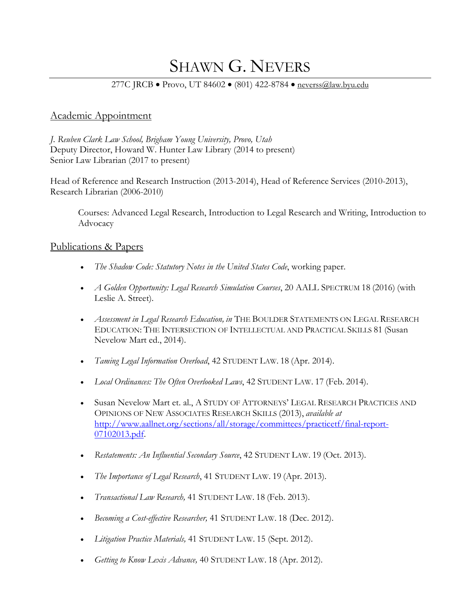# SHAWN G. NEVERS

#### 277C JRCB • Provo, UT 84602 • (801) 422-8784 • [neverss@law.byu.edu](mailto:neverss@law.byu.edu)

### Academic Appointment

*J. Reuben Clark Law School, Brigham Young University, Provo, Utah* Deputy Director, Howard W. Hunter Law Library (2014 to present) Senior Law Librarian (2017 to present)

Head of Reference and Research Instruction (2013-2014), Head of Reference Services (2010-2013), Research Librarian (2006-2010)

Courses: Advanced Legal Research, Introduction to Legal Research and Writing, Introduction to Advocacy

#### Publications & Papers

- *The Shadow Code: Statutory Notes in the United States Code*, working paper.
- *A Golden Opportunity: Legal Research Simulation Courses*, 20 AALL SPECTRUM 18 (2016) (with Leslie A. Street).
- *Assessment in Legal Research Education, in* THE BOULDER STATEMENTS ON LEGAL RESEARCH EDUCATION: THE INTERSECTION OF INTELLECTUAL AND PRACTICAL SKILLS 81 (Susan Nevelow Mart ed., 2014).
- *Taming Legal Information Overload*, 42 STUDENT LAW. 18 (Apr. 2014).
- *Local Ordinances: The Often Overlooked Laws*, 42 STUDENT LAW. 17 (Feb. 2014).
- Susan Nevelow Mart et. al., A STUDY OF ATTORNEYS' LEGAL RESEARCH PRACTICES AND OPINIONS OF NEW ASSOCIATES RESEARCH SKILLS (2013), *available at* [http://www.aallnet.org/sections/all/storage/committees/practicetf/final-report-](http://www.aallnet.org/sections/all/storage/committees/practicetf/final-report-07102013.pdf)[07102013.pdf.](http://www.aallnet.org/sections/all/storage/committees/practicetf/final-report-07102013.pdf)
- *Restatements: An Influential Secondary Source*, 42 STUDENT LAW. 19 (Oct. 2013).
- *The Importance of Legal Research*, 41 STUDENT LAW. 19 (Apr. 2013).
- *Transactional Law Research,* 41 STUDENT LAW. 18 (Feb. 2013).
- *Becoming a Cost-effective Researcher,* 41 STUDENT LAW. 18 (Dec. 2012).
- *Litigation Practice Materials,* 41 STUDENT LAW. 15 (Sept. 2012).
- *Getting to Know Lexis Advance,* 40 STUDENT LAW. 18 (Apr. 2012).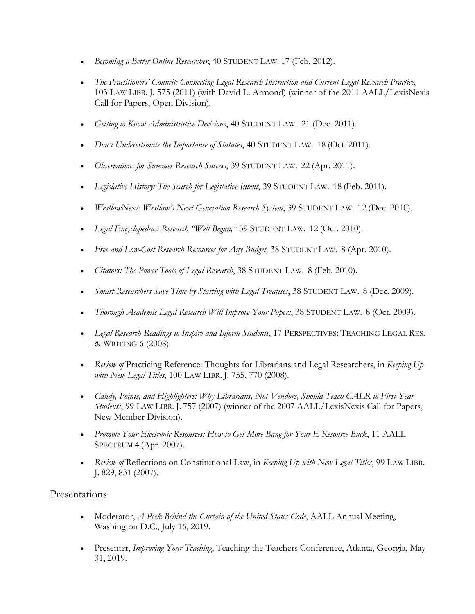- *Becoming a Better Online Researcher*, 40 STUDENT LAW. 17 (Feb. 2012).
- *The Practitioners' Council: Connecting Legal Research Instruction and Current Legal Research Practice*, 103 LAW LIBR. J. 575 (2011) (with David L. Armond) (winner of the 2011 AALL/LexisNexis Call for Papers, Open Division).
- *Getting to Know Administrative Decisions*, 40 STUDENT LAW. 21 (Dec. 2011).
- *Don't Underestimate the Importance of Statutes*, 40 STUDENT LAW. 18 (Oct. 2011).
- *Observations for Summer Research Success*, 39 STUDENT LAW. 22 (Apr. 2011).
- *Legislative History: The Search for Legislative Intent*, 39 STUDENT LAW. 18 (Feb. 2011).
- *WestlawNext: Westlaw's Next Generation Research System*, 39 STUDENT LAW. 12 (Dec. 2010).
- *Legal Encyclopedias: Research "Well Begun,"* 39 STUDENT LAW. 12 (Oct. 2010).
- *Free and Low-Cost Research Resources for Any Budget,* 38 STUDENT LAW. 8 (Apr. 2010).
- *Citators: The Power Tools of Legal Research*, 38 STUDENT LAW. 8 (Feb. 2010).
- *Smart Researchers Save Time by Starting with Legal Treatises*, 38 STUDENT LAW. 8 (Dec. 2009).
- *Thorough Academic Legal Research Will Improve Your Papers*, 38 STUDENT LAW. 8 (Oct. 2009).
- *Legal Research Readings to Inspire and Inform Students*, 17 PERSPECTIVES: TEACHING LEGAL RES. & WRITING 6 (2008).
- *Review of* Practicing Reference: Thoughts for Librarians and Legal Researchers, in *Keeping Up with New Legal Titles*, 100 LAW LIBR. J. 755, 770 (2008).
- *Candy, Points, and Highlighters: Why Librarians, Not Vendors, Should Teach CALR to First-Year Students*, 99 LAW LIBR. J. 757 (2007) (winner of the 2007 AALL/LexisNexis Call for Papers, New Member Division).
- *Promote Your Electronic Resources: How to Get More Bang for Your E-Resource Buck*, 11 AALL SPECTRUM 4 (Apr. 2007).
- *Review of Reflections on Constitutional Law, in <i>Keeping Up with New Legal Titles*, 99 LAW LIBR. J. 829, 831 (2007).

#### Presentations

- Moderator, *A Peek Behind the Curtain of the United States Code*, AALL Annual Meeting, Washington D.C., July 16, 2019.
- Presenter, *Improving Your Teaching*, Teaching the Teachers Conference, Atlanta, Georgia, May 31, 2019.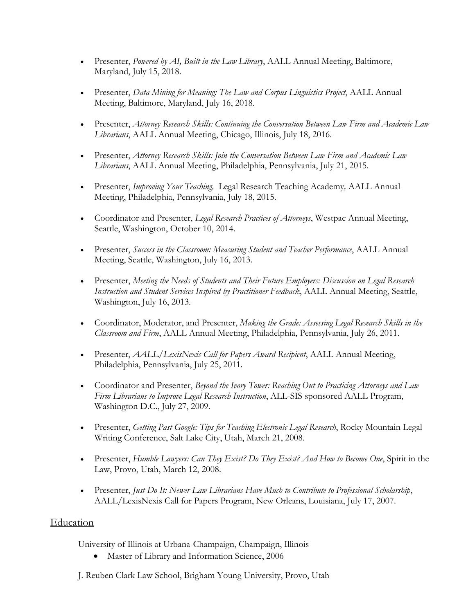- Presenter, *Powered by AI, Built in the Law Library*, AALL Annual Meeting, Baltimore, Maryland, July 15, 2018.
- Presenter, *Data Mining for Meaning: The Law and Corpus Linguistics Project*, AALL Annual Meeting, Baltimore, Maryland, July 16, 2018.
- Presenter, *Attorney Research Skills: Continuing the Conversation Between Law Firm and Academic Law Librarians*, AALL Annual Meeting, Chicago, Illinois, July 18, 2016.
- Presenter, *Attorney Research Skills: Join the Conversation Between Law Firm and Academic Law Librarians*, AALL Annual Meeting, Philadelphia, Pennsylvania, July 21, 2015.
- Presenter, *Improving Your Teaching,* Legal Research Teaching Academy*,* AALL Annual Meeting, Philadelphia, Pennsylvania, July 18, 2015.
- Coordinator and Presenter, *Legal Research Practices of Attorneys*, Westpac Annual Meeting, Seattle, Washington, October 10, 2014.
- Presenter, *Success in the Classroom: Measuring Student and Teacher Performance*, AALL Annual Meeting, Seattle, Washington, July 16, 2013.
- Presenter, *Meeting the Needs of Students and Their Future Employers: Discussion on Legal Research Instruction and Student Services Inspired by Practitioner Feedback*, AALL Annual Meeting, Seattle, Washington, July 16, 2013.
- Coordinator, Moderator, and Presenter, *Making the Grade: Assessing Legal Research Skills in the Classroom and Firm*, AALL Annual Meeting, Philadelphia, Pennsylvania, July 26, 2011.
- Presenter, *AALL/LexisNexis Call for Papers Award Recipient*, AALL Annual Meeting, Philadelphia, Pennsylvania, July 25, 2011.
- Coordinator and Presenter, *Beyond the Ivory Tower: Reaching Out to Practicing Attorneys and Law Firm Librarians to Improve Legal Research Instruction*, ALL-SIS sponsored AALL Program, Washington D.C., July 27, 2009.
- Presenter, *Getting Past Google: Tips for Teaching Electronic Legal Research*, Rocky Mountain Legal Writing Conference, Salt Lake City, Utah, March 21, 2008.
- Presenter, *Humble Lawyers: Can They Exist? Do They Exist? And How to Become One*, Spirit in the Law, Provo, Utah, March 12, 2008.
- Presenter, *Just Do It: Newer Law Librarians Have Much to Contribute to Professional Scholarship*, AALL/LexisNexis Call for Papers Program, New Orleans, Louisiana, July 17, 2007.

## **Education**

University of Illinois at Urbana-Champaign, Champaign, Illinois

- Master of Library and Information Science, 2006
- J. Reuben Clark Law School, Brigham Young University, Provo, Utah